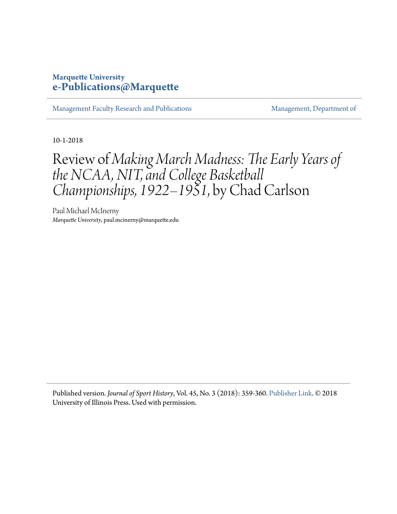## **Marquette University [e-Publications@Marquette](https://epublications.marquette.edu/)**

[Management Faculty Research and Publications](https://epublications.marquette.edu/mgmt_fac) [Management, Department of](https://epublications.marquette.edu/mgmt)

10-1-2018

## Review of *Making March Madness: The Early Years of the NCAA, NIT, and College Basketball Championships, 1922–1951*, by Chad Carlson

Paul Michael McInerny *Marquette University*, paul.mcinerny@marquette.edu

Published version. *Journal of Sport History*, Vol. 45, No. 3 (2018): 359-360. [Publisher Link](http://muse.jhu.edu/article/707466). © 2018 University of Illinois Press. Used with permission.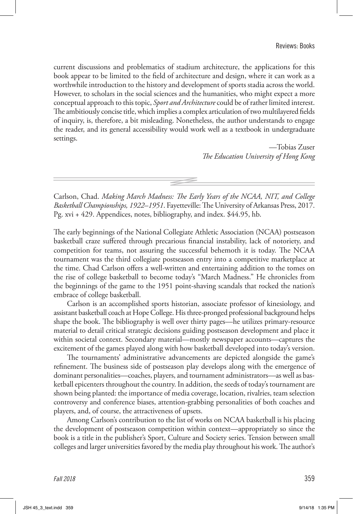Carlson, Chad. *Making March Madness: The Early Years of the NCAA, NIT, and College Basketball Championships, 1922–1951*. Fayetteville: The University of Arkansas Press, 2017. Pg. xvi + 429. Appendices, notes, bibliography, and index. \$44.95, hb.

The early beginnings of the National Collegiate Athletic Association (NCAA) postseason basketball craze suffered through precarious financial instability, lack of notoriety, and competition for teams, not assuring the successful behemoth it is today. The NCAA tournament was the third collegiate postseason entry into a competitive marketplace at the time. Chad Carlson offers a well-written and entertaining addition to the tomes on the rise of college basketball to become today's "March Madness." He chronicles from the beginnings of the game to the 1951 point-shaving scandals that rocked the nation's embrace of college basketball.

Carlson is an accomplished sports historian, associate professor of kinesiology, and assistant basketball coach at Hope College. His three-pronged professional background helps shape the book. The bibliography is well over thirty pages—he utilizes primary-resource material to detail critical strategic decisions guiding postseason development and place it within societal context. Secondary material—mostly newspaper accounts—captures the excitement of the games played along with how basketball developed into today's version.

The tournaments' administrative advancements are depicted alongside the game's refinement. The business side of postseason play develops along with the emergence of dominant personalities—coaches, players, and tournament administrators—as well as basketball epicenters throughout the country. In addition, the seeds of today's tournament are shown being planted: the importance of media coverage, location, rivalries, team selection controversy and conference biases, attention-grabbing personalities of both coaches and players, and, of course, the attractiveness of upsets.

Among Carlson's contribution to the list of works on NCAA basketball is his placing the development of postseason competition within context—appropriately so since the book is a title in the publisher's Sport, Culture and Society series. Tension between small colleges and larger universities favored by the media play throughout his work. The author's